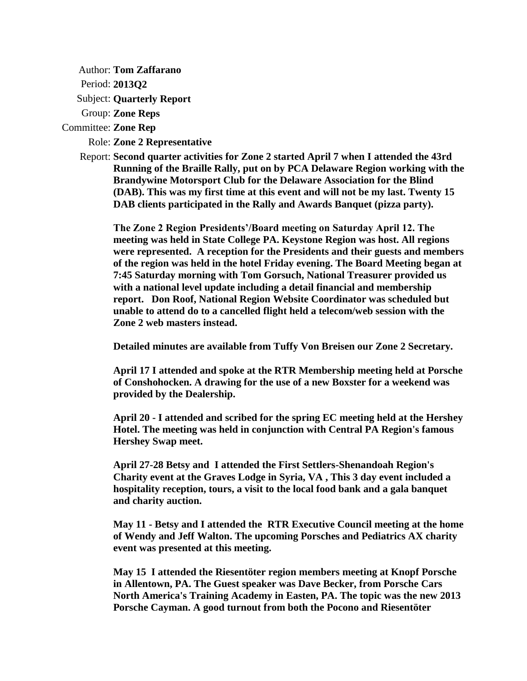Author: **Tom Zaffarano**

Period: **2013Q2**

Subject: **Quarterly Report**

Group: **Zone Reps**

Committee: **Zone Rep**

Role: **Zone 2 Representative**

Report: **Second quarter activities for Zone 2 started April 7 when I attended the 43rd Running of the Braille Rally, put on by PCA Delaware Region working with the Brandywine Motorsport Club for the Delaware Association for the Blind (DAB). This was my first time at this event and will not be my last. Twenty 15 DAB clients participated in the Rally and Awards Banquet (pizza party).**

**The Zone 2 Region Presidents'/Board meeting on Saturday April 12. The meeting was held in State College PA. Keystone Region was host. All regions were represented. A reception for the Presidents and their guests and members of the region was held in the hotel Friday evening. The Board Meeting began at 7:45 Saturday morning with Tom Gorsuch, National Treasurer provided us with a national level update including a detail financial and membership report. Don Roof, National Region Website Coordinator was scheduled but unable to attend do to a cancelled flight held a telecom/web session with the Zone 2 web masters instead.**

**Detailed minutes are available from Tuffy Von Breisen our Zone 2 Secretary.** 

**April 17 I attended and spoke at the RTR Membership meeting held at Porsche of Conshohocken. A drawing for the use of a new Boxster for a weekend was provided by the Dealership.**

**April 20 - I attended and scribed for the spring EC meeting held at the Hershey Hotel. The meeting was held in conjunction with Central PA Region's famous Hershey Swap meet.** 

**April 27-28 Betsy and I attended the First Settlers-Shenandoah Region's Charity event at the Graves Lodge in Syria, VA , This 3 day event included a hospitality reception, tours, a visit to the local food bank and a gala banquet and charity auction.**

**May 11 - Betsy and I attended the RTR Executive Council meeting at the home of Wendy and Jeff Walton. The upcoming Porsches and Pediatrics AX charity event was presented at this meeting.**

**May 15 I attended the Riesentöter region members meeting at Knopf Porsche in Allentown, PA. The Guest speaker was Dave Becker, from Porsche Cars North America's Training Academy in Easten, PA. The topic was the new 2013 Porsche Cayman. A good turnout from both the Pocono and Riesentöter**